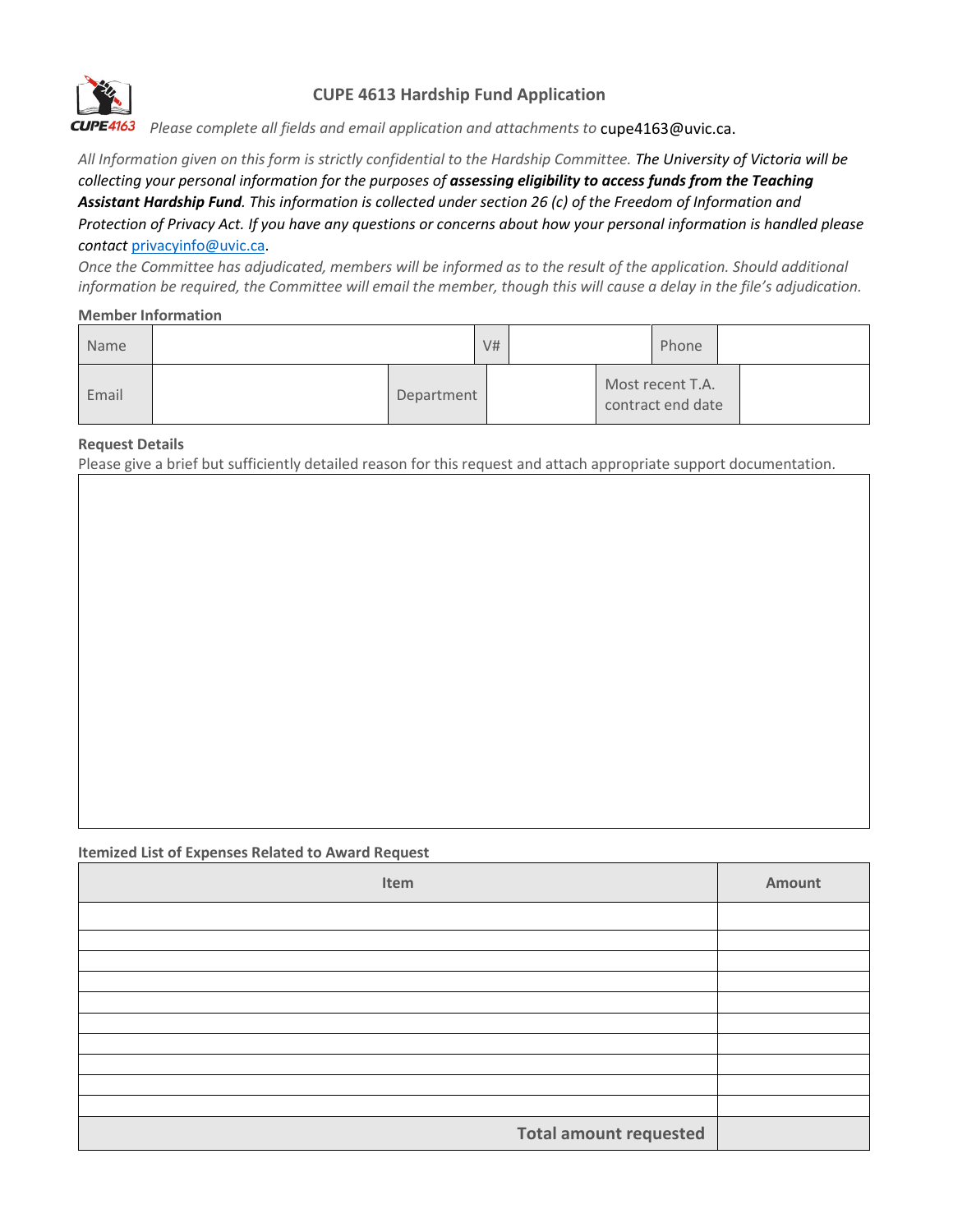

# **CUPE 4613 Hardship Fund Application**

*Please complete all fields and email application and attachments to* cupe4163@uvic.ca.

*All Information given on this form is strictly confidential to the Hardship Committee. The University of Victoria will be collecting your personal information for the purposes of assessing eligibility to access funds from the Teaching Assistant Hardship Fund. This information is collected under section 26 (c) of the Freedom of Information and Protection of Privacy Act. If you have any questions or concerns about how your personal information is handled please contact* [privacyinfo@uvic.ca.](mailto:privacyinfo@uvic.ca) 

*Once the Committee has adjudicated, members will be informed as to the result of the application. Should additional information be required, the Committee will email the member, though this will cause a delay in the file's adjudication.*

### **Member Information**

| Name  |  |            | V# |  | Phone                                 |  |
|-------|--|------------|----|--|---------------------------------------|--|
| Email |  | Department |    |  | Most recent T.A.<br>contract end date |  |

#### **Request Details**

Please give a brief but sufficiently detailed reason for this request and attach appropriate support documentation.

#### **Itemized List of Expenses Related to Award Request**

| Item                          | Amount |
|-------------------------------|--------|
|                               |        |
|                               |        |
|                               |        |
|                               |        |
|                               |        |
|                               |        |
|                               |        |
|                               |        |
|                               |        |
|                               |        |
| <b>Total amount requested</b> |        |